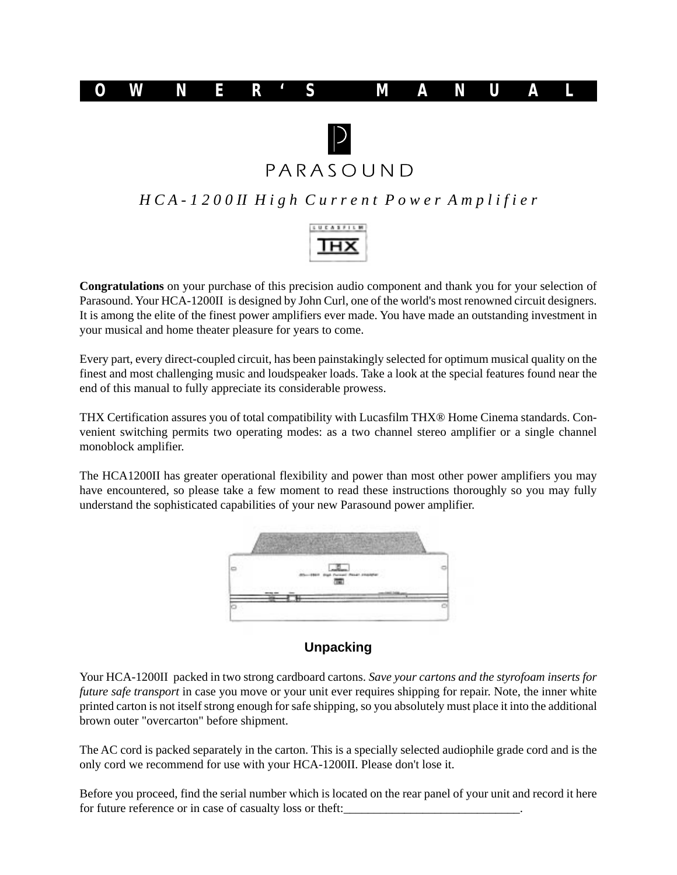



PARASOUND

*H C A - 1 2 0 0 II H i g h C u r r e n t P o w e r A m p l i f i e r*



**Congratulations** on your purchase of this precision audio component and thank you for your selection of Parasound. Your HCA-1200II is designed by John Curl, one of the world's most renowned circuit designers. It is among the elite of the finest power amplifiers ever made. You have made an outstanding investment in your musical and home theater pleasure for years to come.

Every part, every direct-coupled circuit, has been painstakingly selected for optimum musical quality on the finest and most challenging music and loudspeaker loads. Take a look at the special features found near the end of this manual to fully appreciate its considerable prowess.

THX Certification assures you of total compatibility with Lucasfilm THX® Home Cinema standards. Convenient switching permits two operating modes: as a two channel stereo amplifier or a single channel monoblock amplifier.

The HCA1200II has greater operational flexibility and power than most other power amplifiers you may have encountered, so please take a few moment to read these instructions thoroughly so you may fully understand the sophisticated capabilities of your new Parasound power amplifier.



#### **Unpacking**

Your HCA-1200II packed in two strong cardboard cartons. *Save your cartons and the styrofoam inserts for future safe transport* in case you move or your unit ever requires shipping for repair. Note, the inner white printed carton is not itself strong enough for safe shipping, so you absolutely must place it into the additional brown outer "overcarton" before shipment.

The AC cord is packed separately in the carton. This is a specially selected audiophile grade cord and is the only cord we recommend for use with your HCA-1200II. Please don't lose it.

Before you proceed, find the serial number which is located on the rear panel of your unit and record it here for future reference or in case of casualty loss or theft: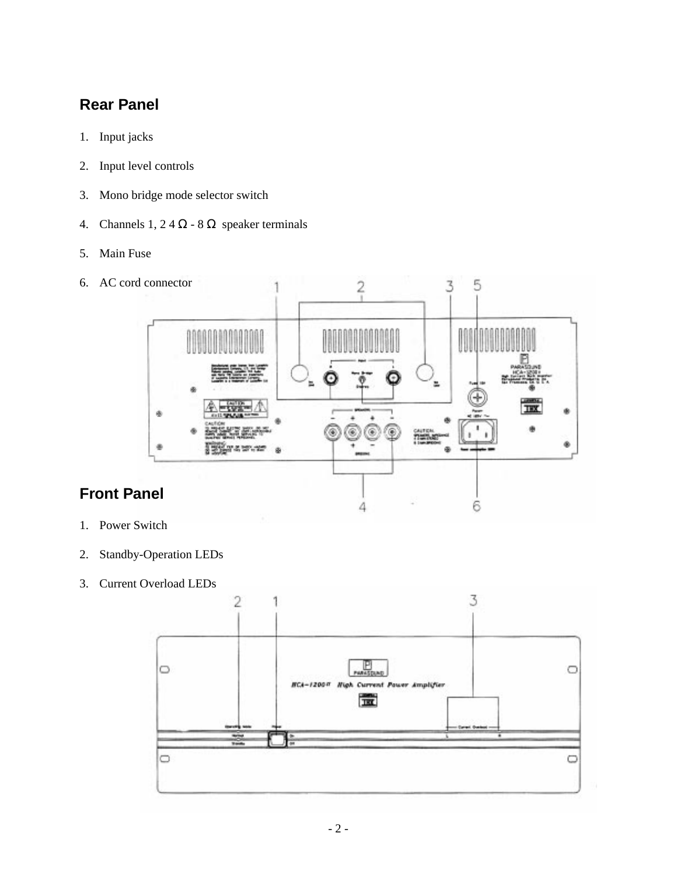# **Rear Panel**

- 1. Input jacks
- 2. Input level controls
- 3. Mono bridge mode selector switch
- 4. Channels 1, 2 4  $\Omega$  8  $\Omega$  speaker terminals
- 5. Main Fuse
- 6. AC cord connector 5 3 2 THX ۰ 4 6
- **Front Panel**
- 1. Power Switch
- 2. Standby-Operation LEDs
- 3. Current Overload LEDs

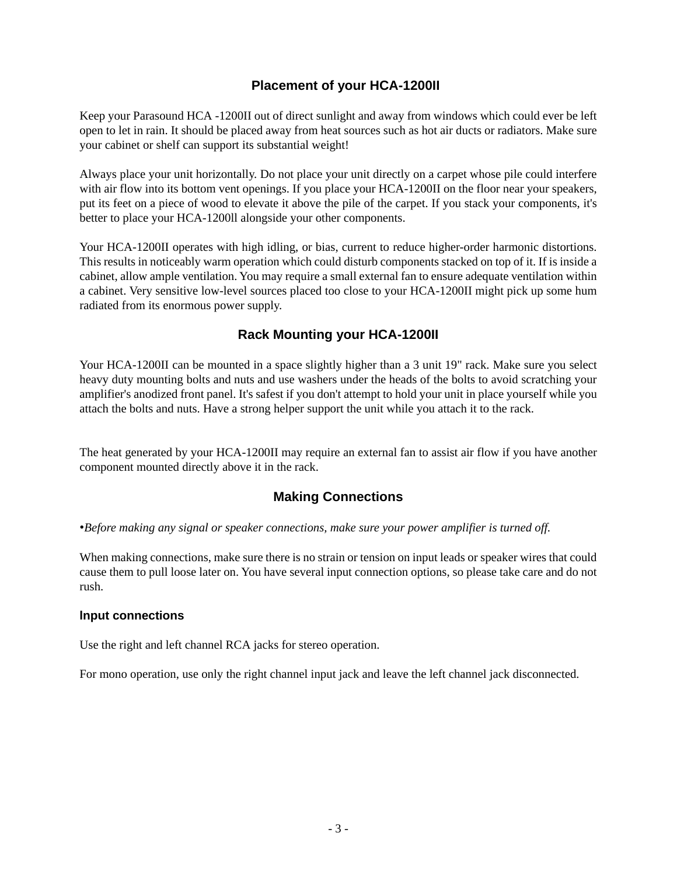### **Placement of your HCA-1200II**

Keep your Parasound HCA -1200II out of direct sunlight and away from windows which could ever be left open to let in rain. It should be placed away from heat sources such as hot air ducts or radiators. Make sure your cabinet or shelf can support its substantial weight!

Always place your unit horizontally. Do not place your unit directly on a carpet whose pile could interfere with air flow into its bottom vent openings. If you place your HCA-1200II on the floor near your speakers, put its feet on a piece of wood to elevate it above the pile of the carpet. If you stack your components, it's better to place your HCA-1200ll alongside your other components.

Your HCA-1200II operates with high idling, or bias, current to reduce higher-order harmonic distortions. This results in noticeably warm operation which could disturb components stacked on top of it. If is inside a cabinet, allow ample ventilation. You may require a small external fan to ensure adequate ventilation within a cabinet. Very sensitive low-level sources placed too close to your HCA-1200II might pick up some hum radiated from its enormous power supply.

### **Rack Mounting your HCA-1200II**

Your HCA-1200II can be mounted in a space slightly higher than a 3 unit 19" rack. Make sure you select heavy duty mounting bolts and nuts and use washers under the heads of the bolts to avoid scratching your amplifier's anodized front panel. It's safest if you don't attempt to hold your unit in place yourself while you attach the bolts and nuts. Have a strong helper support the unit while you attach it to the rack.

The heat generated by your HCA-1200II may require an external fan to assist air flow if you have another component mounted directly above it in the rack.

## **Making Connections**

•*Before making any signal or speaker connections, make sure your power amplifier is turned off.*

When making connections, make sure there is no strain or tension on input leads or speaker wires that could cause them to pull loose later on. You have several input connection options, so please take care and do not rush.

#### **lnput connections**

Use the right and left channel RCA jacks for stereo operation.

For mono operation, use only the right channel input jack and leave the left channel jack disconnected.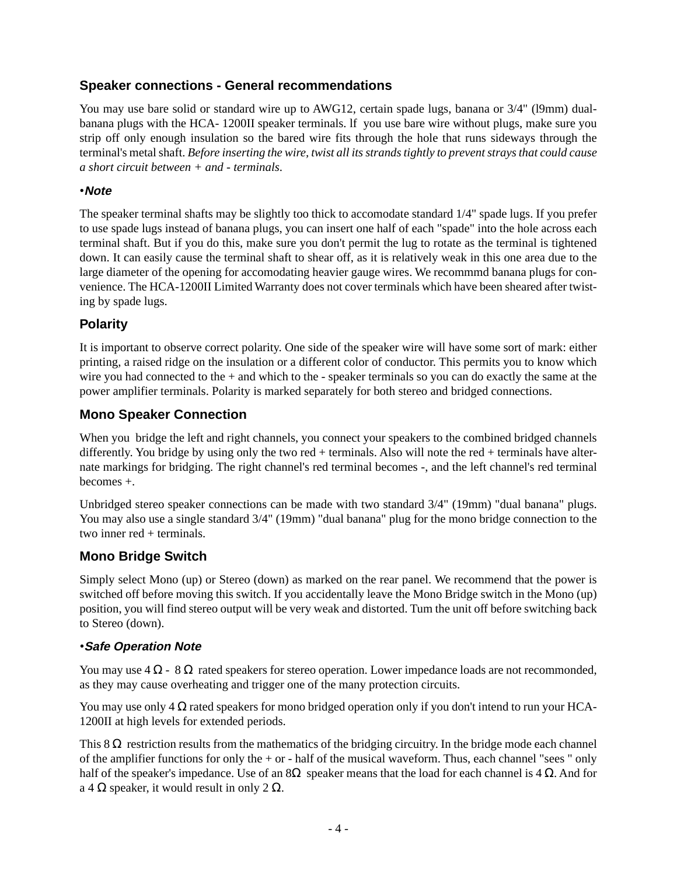### **Speaker connections - General recommendations**

You may use bare solid or standard wire up to AWG12, certain spade lugs, banana or  $3/4$ " (19mm) dualbanana plugs with the HCA- 1200II speaker terminals. lf you use bare wire without plugs, make sure you strip off only enough insulation so the bared wire fits through the hole that runs sideways through the terminal's metal shaft. *Before inserting the wire, twist all its strands tightly to prevent strays that could cause a short circuit between + and - terminals*.

#### •**Note**

The speaker terminal shafts may be slightly too thick to accomodate standard 1/4" spade lugs. If you prefer to use spade lugs instead of banana plugs, you can insert one half of each "spade" into the hole across each terminal shaft. But if you do this, make sure you don't permit the lug to rotate as the terminal is tightened down. It can easily cause the terminal shaft to shear off, as it is relatively weak in this one area due to the large diameter of the opening for accomodating heavier gauge wires. We recommmd banana plugs for convenience. The HCA-1200II Limited Warranty does not cover terminals which have been sheared after twisting by spade lugs.

#### **Polarity**

It is important to observe correct polarity. One side of the speaker wire will have some sort of mark: either printing, a raised ridge on the insulation or a different color of conductor. This permits you to know which wire you had connected to the + and which to the - speaker terminals so you can do exactly the same at the power amplifier terminals. Polarity is marked separately for both stereo and bridged connections.

#### **Mono Speaker Connection**

When you bridge the left and right channels, you connect your speakers to the combined bridged channels differently. You bridge by using only the two red + terminals. Also will note the red + terminals have alternate markings for bridging. The right channel's red terminal becomes -, and the left channel's red terminal becomes +.

Unbridged stereo speaker connections can be made with two standard 3/4" (19mm) "dual banana" plugs. You may also use a single standard 3/4" (19mm) "dual banana" plug for the mono bridge connection to the two inner red + terminals.

### **Mono Bridge Switch**

Simply select Mono (up) or Stereo (down) as marked on the rear panel. We recommend that the power is switched off before moving this switch. If you accidentally leave the Mono Bridge switch in the Mono (up) position, you will find stereo output will be very weak and distorted. Tum the unit off before switching back to Stereo (down).

#### *•***Safe Operation Note**

You may use  $4 \Omega - 8 \Omega$  rated speakers for stereo operation. Lower impedance loads are not recommonded, as they may cause overheating and trigger one of the many protection circuits.

You may use only  $4 \Omega$  rated speakers for mono bridged operation only if you don't intend to run your HCA-1200II at high levels for extended periods.

This  $8 \Omega$  restriction results from the mathematics of the bridging circuitry. In the bridge mode each channel of the amplifier functions for only the + or - half of the musical waveform. Thus, each channel "sees " only half of the speaker's impedance. Use of an  $8\Omega$  speaker means that the load for each channel is 4  $\Omega$ . And for a 4  $\Omega$  speaker, it would result in only 2  $\Omega$ .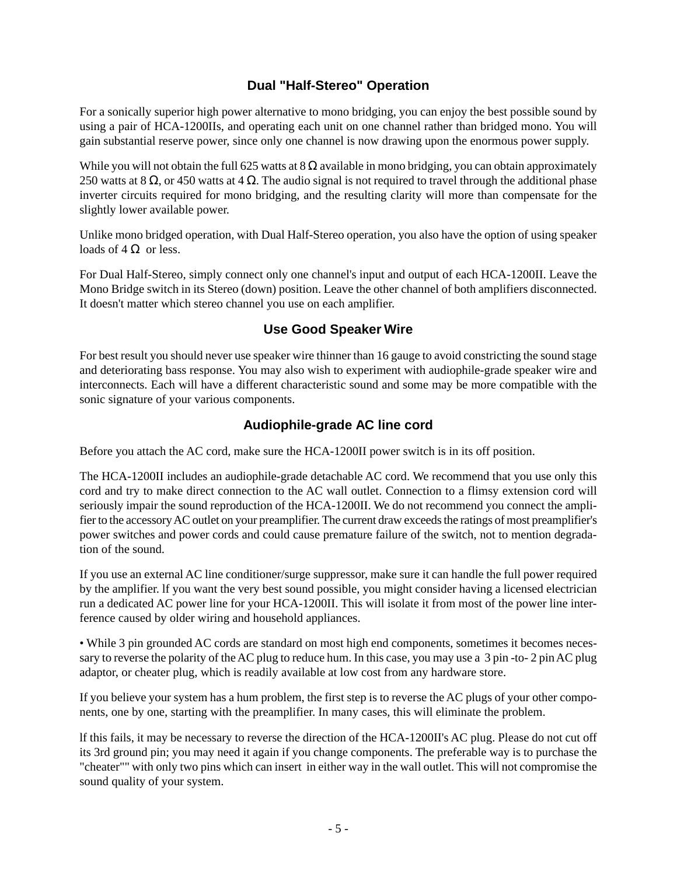## **Dual "Half-Stereo" Operation**

For a sonically superior high power alternative to mono bridging, you can enjoy the best possible sound by using a pair of HCA-1200IIs, and operating each unit on one channel rather than bridged mono. You will gain substantial reserve power, since only one channel is now drawing upon the enormous power supply.

While you will not obtain the full 625 watts at  $8 \Omega$  available in mono bridging, you can obtain approximately 250 watts at 8  $\Omega$ , or 450 watts at 4  $\Omega$ . The audio signal is not required to travel through the additional phase inverter circuits required for mono bridging, and the resulting clarity will more than compensate for the slightly lower available power.

Unlike mono bridged operation, with Dual Half-Stereo operation, you also have the option of using speaker loads of  $4 \Omega$  or less.

For Dual Half-Stereo, simply connect only one channel's input and output of each HCA-1200II. Leave the Mono Bridge switch in its Stereo (down) position. Leave the other channel of both amplifiers disconnected. It doesn't matter which stereo channel you use on each amplifier.

### **Use Good Speaker Wire**

For best result you should never use speaker wire thinner than 16 gauge to avoid constricting the sound stage and deteriorating bass response. You may also wish to experiment with audiophile-grade speaker wire and interconnects. Each will have a different characteristic sound and some may be more compatible with the sonic signature of your various components.

### **Audiophile-grade AC line cord**

Before you attach the AC cord, make sure the HCA-1200II power switch is in its off position.

The HCA-1200II includes an audiophile-grade detachable AC cord. We recommend that you use only this cord and try to make direct connection to the AC wall outlet. Connection to a flimsy extension cord will seriously impair the sound reproduction of the HCA-1200II. We do not recommend you connect the amplifier to the accessory AC outlet on your preamplifier. The current draw exceeds the ratings of most preamplifier's power switches and power cords and could cause premature failure of the switch, not to mention degradation of the sound.

If you use an external AC line conditioner/surge suppressor, make sure it can handle the full power required by the amplifier. lf you want the very best sound possible, you might consider having a licensed electrician run a dedicated AC power line for your HCA-1200II. This will isolate it from most of the power line interference caused by older wiring and household appliances.

• While 3 pin grounded AC cords are standard on most high end components, sometimes it becomes necessary to reverse the polarity of the AC plug to reduce hum. In this case, you may use a 3 pin -to- 2 pin AC plug adaptor, or cheater plug, which is readily available at low cost from any hardware store.

If you believe your system has a hum problem, the first step is to reverse the AC plugs of your other components, one by one, starting with the preamplifier. In many cases, this will eliminate the problem.

lf this fails, it may be necessary to reverse the direction of the HCA-1200II's AC plug. Please do not cut off its 3rd ground pin; you may need it again if you change components. The preferable way is to purchase the "cheater"" with only two pins which can insert in either way in the wall outlet. This will not compromise the sound quality of your system.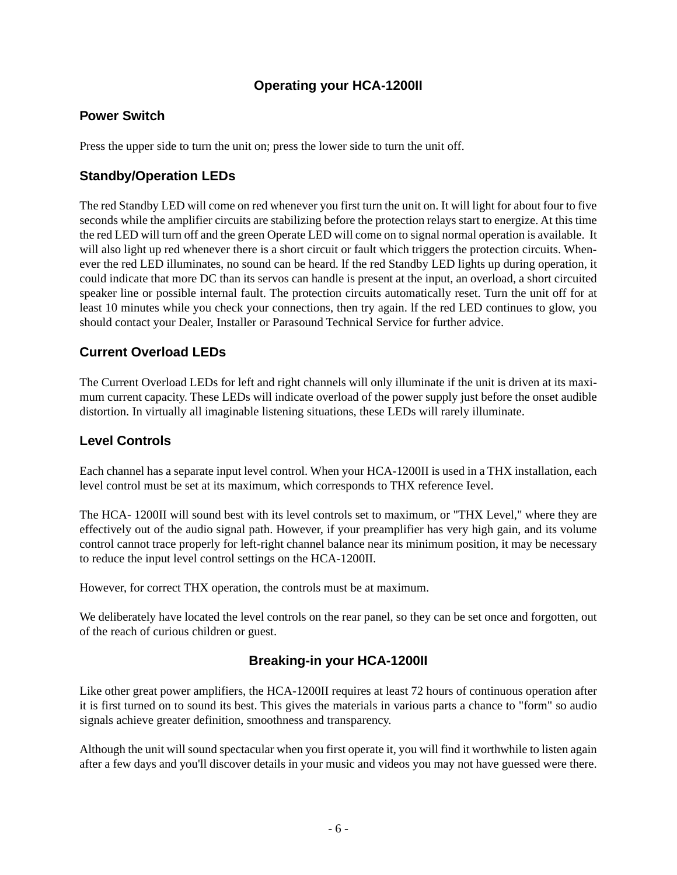## **Operating your HCA-1200II**

### **Power Switch**

Press the upper side to turn the unit on; press the lower side to turn the unit off.

### **Standby/Operation LEDs**

The red Standby LED will come on red whenever you first turn the unit on. It will light for about four to five seconds while the amplifier circuits are stabilizing before the protection relays start to energize. At this time the red LED will turn off and the green Operate LED will come on to signal normal operation is available. It will also light up red whenever there is a short circuit or fault which triggers the protection circuits. Whenever the red LED illuminates, no sound can be heard. lf the red Standby LED lights up during operation, it could indicate that more DC than its servos can handle is present at the input, an overload, a short circuited speaker line or possible internal fault. The protection circuits automatically reset. Turn the unit off for at least 10 minutes while you check your connections, then try again. lf the red LED continues to glow, you should contact your Dealer, Installer or Parasound Technical Service for further advice.

### **Current Overload LEDs**

The Current Overload LEDs for left and right channels will only illuminate if the unit is driven at its maximum current capacity. These LEDs will indicate overload of the power supply just before the onset audible distortion. In virtually all imaginable listening situations, these LEDs will rarely illuminate.

#### **Level Controls**

Each channel has a separate input level control. When your HCA-1200II is used in a THX installation, each level control must be set at its maximum, which corresponds to THX reference Ievel.

The HCA- 1200II will sound best with its level controls set to maximum, or "THX Level," where they are effectively out of the audio signal path. However, if your preamplifier has very high gain, and its volume control cannot trace properly for left-right channel balance near its minimum position, it may be necessary to reduce the input level control settings on the HCA-1200II.

However, for correct THX operation, the controls must be at maximum.

We deliberately have located the level controls on the rear panel, so they can be set once and forgotten, out of the reach of curious children or guest.

### **Breaking-in your HCA-1200II**

Like other great power amplifiers, the HCA-1200II requires at least 72 hours of continuous operation after it is first turned on to sound its best. This gives the materials in various parts a chance to "form" so audio signals achieve greater definition, smoothness and transparency.

Although the unit will sound spectacular when you first operate it, you will find it worthwhile to listen again after a few days and you'll discover details in your music and videos you may not have guessed were there.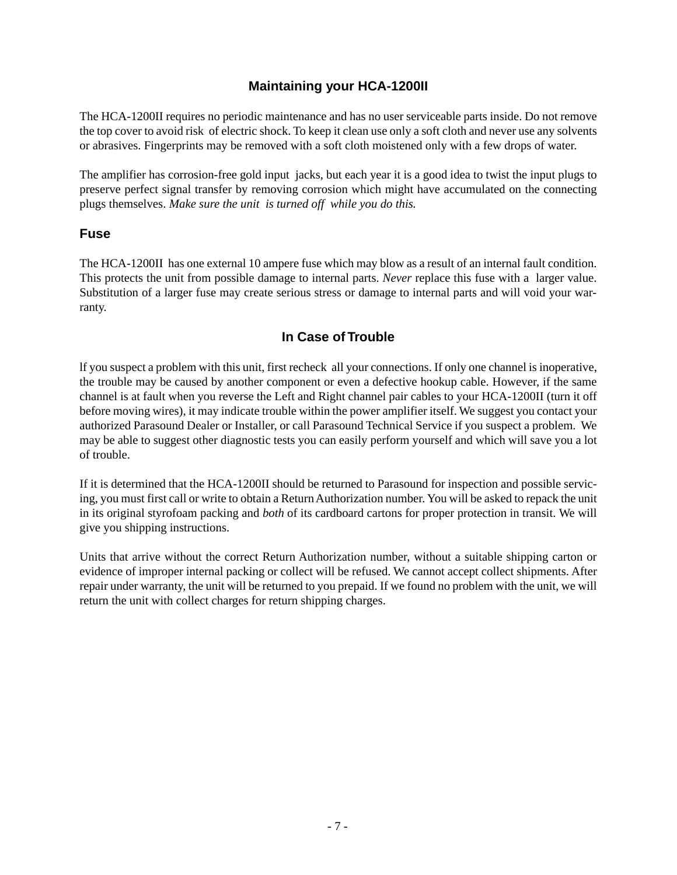### **Maintaining your HCA-1200II**

The HCA-1200II requires no periodic maintenance and has no user serviceable parts inside. Do not remove the top cover to avoid risk of electric shock. To keep it clean use only a soft cloth and never use any solvents or abrasives. Fingerprints may be removed with a soft cloth moistened only with a few drops of water.

The amplifier has corrosion-free gold input jacks, but each year it is a good idea to twist the input plugs to preserve perfect signal transfer by removing corrosion which might have accumulated on the connecting plugs themselves. *Make sure the unit is turned off while you do this.*

#### **Fuse**

The HCA-1200II has one external 10 ampere fuse which may blow as a result of an internal fault condition. This protects the unit from possible damage to internal parts. *Never* replace this fuse with a larger value. Substitution of a larger fuse may create serious stress or damage to internal parts and will void your warranty.

### **In Case of Trouble**

lf you suspect a problem with this unit, first recheck all your connections. If only one channel is inoperative, the trouble may be caused by another component or even a defective hookup cable. However, if the same channel is at fault when you reverse the Left and Right channel pair cables to your HCA-1200II (turn it off before moving wires), it may indicate trouble within the power amplifier itself. We suggest you contact your authorized Parasound Dealer or Installer, or call Parasound Technical Service if you suspect a problem. We may be able to suggest other diagnostic tests you can easily perform yourself and which will save you a lot of trouble.

If it is determined that the HCA-1200II should be returned to Parasound for inspection and possible servicing, you must first call or write to obtain a Return Authorization number. You will be asked to repack the unit in its original styrofoam packing and *both* of its cardboard cartons for proper protection in transit. We will give you shipping instructions.

Units that arrive without the correct Return Authorization number, without a suitable shipping carton or evidence of improper internal packing or collect will be refused. We cannot accept collect shipments. After repair under warranty, the unit will be returned to you prepaid. If we found no problem with the unit, we will return the unit with collect charges for return shipping charges.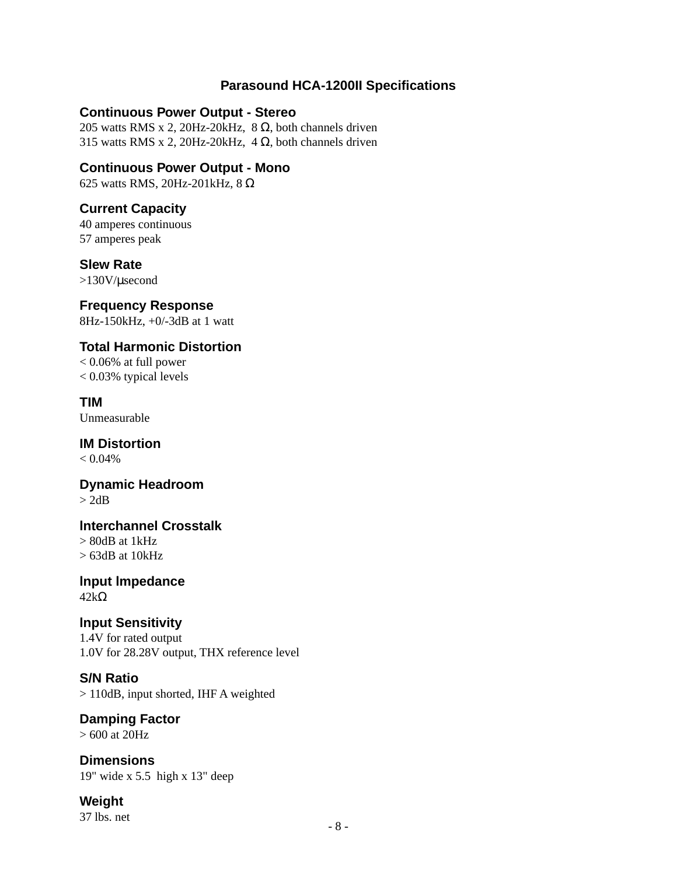### **Parasound HCA-1200II Specifications**

### **Continuous Power Output - Stereo**

205 watts RMS x 2, 20Hz-20kHz,  $8 \Omega$ , both channels driven 315 watts RMS x 2, 20Hz-20kHz, 4  $\Omega$ , both channels driven

**Continuous Power Output - Mono** 625 watts RMS, 20Hz-201kHz, 8 Ω

### **Current Capacity**

40 amperes continuous 57 amperes peak

#### **Slew Rate**

>130V/µsecond

# **Frequency Response**

8Hz-150kHz, +0/-3dB at 1 watt

## **Total Harmonic Distortion**

< 0.06% at full power < 0.03% typical levels

**TIM** Unmeasurable

**IM Distortion**  $< 0.04\%$ 

#### **Dynamic Headroom**  $> 2dB$

**lnterchannel Crosstalk**  $> 80$ dB at 1 $kHz$  $> 63$ dB at 10kHz

**lnput lmpedance**  $42kΩ$ 

### **lnput Sensitivity**

1.4V for rated output 1.0V for 28.28V output, THX reference level

# **S/N Ratio**

> 110dB, input shorted, IHF A weighted

#### **Damping Factor** > 600 at 20Hz

**Dimensions** 19" wide x 5.5 high x 13" deep

**Weight** 37 lbs. net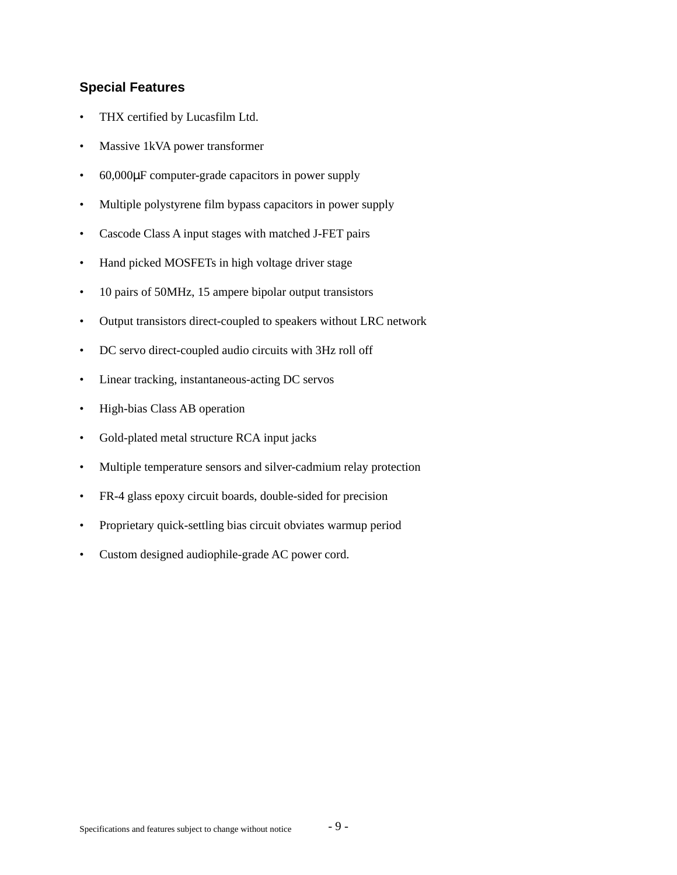#### **Special Features**

- THX certified by Lucasfilm Ltd.
- Massive 1kVA power transformer
- 60,000µF computer-grade capacitors in power supply
- Multiple polystyrene film bypass capacitors in power supply
- Cascode Class A input stages with matched J-FET pairs
- Hand picked MOSFETs in high voltage driver stage
- 10 pairs of 50MHz, 15 ampere bipolar output transistors
- Output transistors direct-coupled to speakers without LRC network
- DC servo direct-coupled audio circuits with 3Hz roll off
- Linear tracking, instantaneous-acting DC servos
- High-bias Class AB operation
- Gold-plated metal structure RCA input jacks
- Multiple temperature sensors and silver-cadmium relay protection
- FR-4 glass epoxy circuit boards, double-sided for precision
- Proprietary quick-settling bias circuit obviates warmup period
- Custom designed audiophile-grade AC power cord.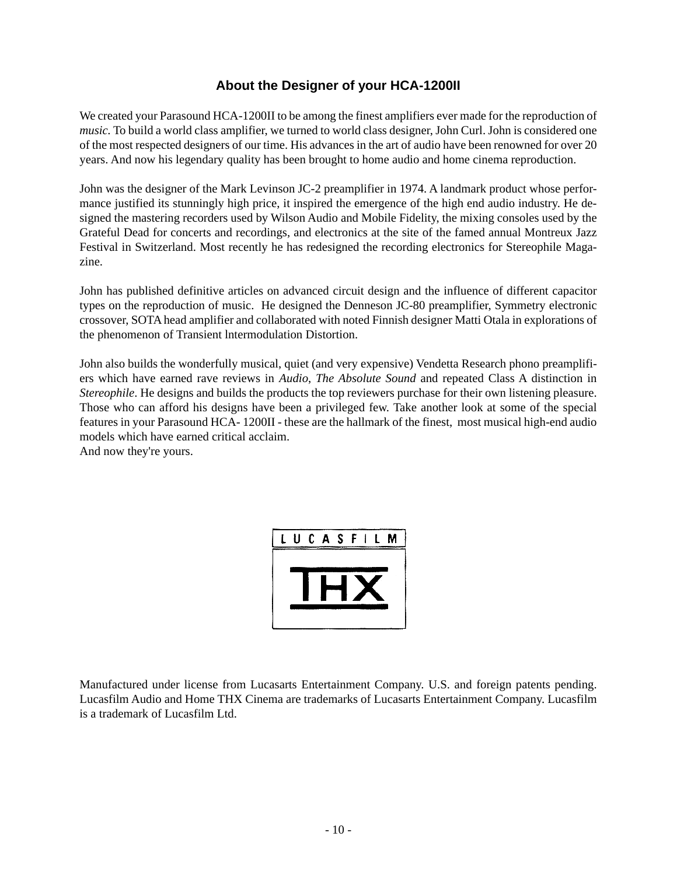### **About the Designer of your HCA-1200II**

We created your Parasound HCA-1200II to be among the finest amplifiers ever made for the reproduction of *music*. To build a world class amplifier, we turned to world class designer, John Curl. John is considered one of the most respected designers of our time. His advances in the art of audio have been renowned for over 20 years. And now his legendary quality has been brought to home audio and home cinema reproduction.

John was the designer of the Mark Levinson JC-2 preamplifier in 1974. A landmark product whose performance justified its stunningly high price, it inspired the emergence of the high end audio industry. He designed the mastering recorders used by Wilson Audio and Mobile Fidelity, the mixing consoles used by the Grateful Dead for concerts and recordings, and electronics at the site of the famed annual Montreux Jazz Festival in Switzerland. Most recently he has redesigned the recording electronics for Stereophile Magazine.

John has published definitive articles on advanced circuit design and the influence of different capacitor types on the reproduction of music. He designed the Denneson JC-80 preamplifier, Symmetry electronic crossover, SOTA head amplifier and collaborated with noted Finnish designer Matti Otala in explorations of the phenomenon of Transient lntermodulation Distortion.

John also builds the wonderfully musical, quiet (and very expensive) Vendetta Research phono preamplifiers which have earned rave reviews in *Audio*, *The Absolute Sound* and repeated Class A distinction in *Stereophile*. He designs and builds the products the top reviewers purchase for their own listening pleasure. Those who can afford his designs have been a privileged few. Take another look at some of the special features in your Parasound HCA- 1200II - these are the hallmark of the finest, most musical high-end audio models which have earned critical acclaim.

And now they're yours.

| LUCASFILM |  |  |  |  |
|-----------|--|--|--|--|
|           |  |  |  |  |
|           |  |  |  |  |
|           |  |  |  |  |

Manufactured under license from Lucasarts Entertainment Company. U.S. and foreign patents pending. Lucasfilm Audio and Home THX Cinema are trademarks of Lucasarts Entertainment Company. Lucasfilm is a trademark of Lucasfilm Ltd.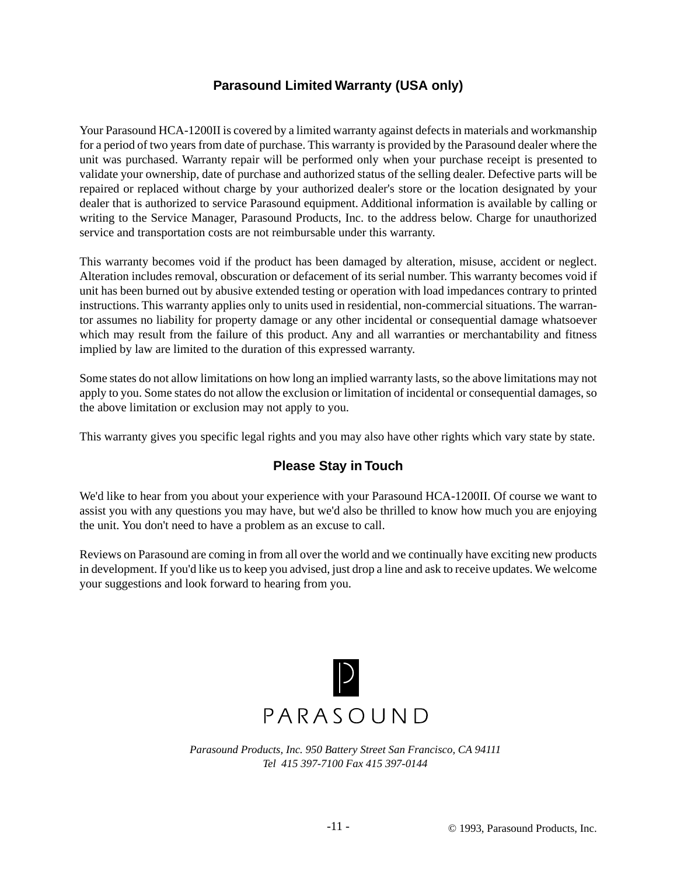### **Parasound Limited Warranty (USA only)**

Your Parasound HCA-1200II is covered by a limited warranty against defects in materials and workmanship for a period of two years from date of purchase. This warranty is provided by the Parasound dealer where the unit was purchased. Warranty repair will be performed only when your purchase receipt is presented to validate your ownership, date of purchase and authorized status of the selling dealer. Defective parts will be repaired or replaced without charge by your authorized dealer's store or the location designated by your dealer that is authorized to service Parasound equipment. Additional information is available by calling or writing to the Service Manager, Parasound Products, Inc. to the address below. Charge for unauthorized service and transportation costs are not reimbursable under this warranty.

This warranty becomes void if the product has been damaged by alteration, misuse, accident or neglect. Alteration includes removal, obscuration or defacement of its serial number. This warranty becomes void if unit has been burned out by abusive extended testing or operation with load impedances contrary to printed instructions. This warranty applies only to units used in residential, non-commercial situations. The warrantor assumes no liability for property damage or any other incidental or consequential damage whatsoever which may result from the failure of this product. Any and all warranties or merchantability and fitness implied by law are limited to the duration of this expressed warranty.

Some states do not allow limitations on how long an implied warranty lasts, so the above limitations may not apply to you. Some states do not allow the exclusion or limitation of incidental or consequential damages, so the above limitation or exclusion may not apply to you.

This warranty gives you specific legal rights and you may also have other rights which vary state by state.

### **Please Stay in Touch**

We'd like to hear from you about your experience with your Parasound HCA-1200II. Of course we want to assist you with any questions you may have, but we'd also be thrilled to know how much you are enjoying the unit. You don't need to have a problem as an excuse to call.

Reviews on Parasound are coming in from all over the world and we continually have exciting new products in development. If you'd like us to keep you advised, just drop a line and ask to receive updates. We welcome your suggestions and look forward to hearing from you.



*Parasound Products, Inc. 950 Battery Street San Francisco, CA 94111 Tel 415 397-7100 Fax 415 397-0144*